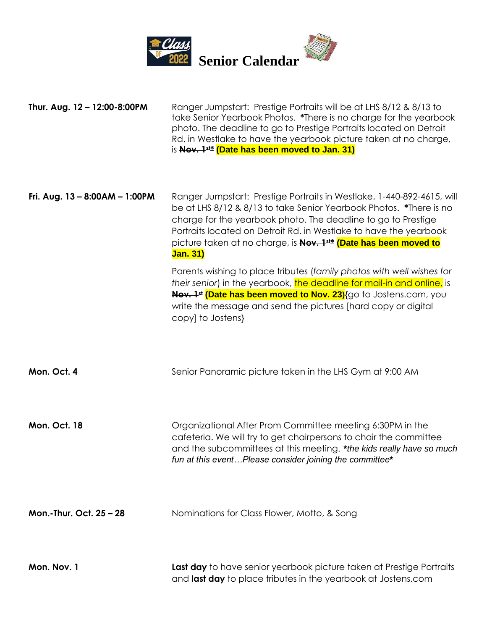

| Thur. Aug. 12 - 12:00-8:00PM     | Ranger Jumpstart: Prestige Portraits will be at LHS 8/12 & 8/13 to<br>take Senior Yearbook Photos. *There is no charge for the yearbook<br>photo. The deadline to go to Prestige Portraits located on Detroit<br>Rd. in Westlake to have the yearbook picture taken at no charge,<br>is Nov. 1 <sup>st*</sup> (Date has been moved to Jan. 31)                                        |
|----------------------------------|---------------------------------------------------------------------------------------------------------------------------------------------------------------------------------------------------------------------------------------------------------------------------------------------------------------------------------------------------------------------------------------|
| Fri. Aug. $13 - 8:00AM - 1:00PM$ | Ranger Jumpstart: Prestige Portraits in Westlake, 1-440-892-4615, will<br>be at LHS 8/12 & 8/13 to take Senior Yearbook Photos. *There is no<br>charge for the yearbook photo. The deadline to go to Prestige<br>Portraits located on Detroit Rd. in Westlake to have the yearbook<br>picture taken at no charge, is Nov. 1 <sup>st*</sup> (Date has been moved to<br><b>Jan. 31)</b> |
|                                  | Parents wishing to place tributes (family photos with well wishes for<br>their senior) in the yearbook, the deadline for mail-in and online, is<br>Nov. 1 <sup>st</sup> (Date has been moved to Nov. 23) {go to Jostens.com, you<br>write the message and send the pictures [hard copy or digital<br>copy] to Jostens}                                                                |
| Mon. Oct. 4                      | Senior Panoramic picture taken in the LHS Gym at 9:00 AM                                                                                                                                                                                                                                                                                                                              |
| Mon. Oct. 18                     | Organizational After Prom Committee meeting 6:30PM in the<br>cafeteria. We will try to get chairpersons to chair the committee<br>and the subcommittees at this meeting. *the kids really have so much<br>fun at this eventPlease consider joining the committee*                                                                                                                     |
| Mon.-Thur. Oct. 25 - 28          | Nominations for Class Flower, Motto, & Song                                                                                                                                                                                                                                                                                                                                           |
| Mon. Nov. 1                      | Last day to have senior yearbook picture taken at Prestige Portraits                                                                                                                                                                                                                                                                                                                  |

and **last day** to place tributes in the yearbook at Jostens.com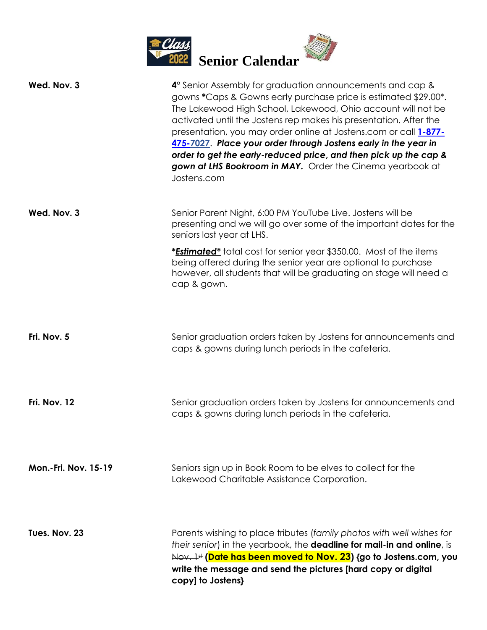

| Wed. Nov. 3                 | 4° Senior Assembly for graduation announcements and cap &<br>gowns * Caps & Gowns early purchase price is estimated \$29.00*.<br>The Lakewood High School, Lakewood, Ohio account will not be<br>activated until the Jostens rep makes his presentation. After the<br>presentation, you may order online at Jostens.com or call 1-877-<br>475-7027. Place your order through Jostens early in the year in<br>order to get the early-reduced price, and then pick up the cap &<br>gown at LHS Bookroom in MAY. Order the Cinema yearbook at<br>Jostens.com |
|-----------------------------|-----------------------------------------------------------------------------------------------------------------------------------------------------------------------------------------------------------------------------------------------------------------------------------------------------------------------------------------------------------------------------------------------------------------------------------------------------------------------------------------------------------------------------------------------------------|
| Wed. Nov. 3                 | Senior Parent Night, 6:00 PM YouTube Live. Jostens will be<br>presenting and we will go over some of the important dates for the<br>seniors last year at LHS.                                                                                                                                                                                                                                                                                                                                                                                             |
|                             | <i>*Estimated*</i> total cost for senior year \$350.00. Most of the items<br>being offered during the senior year are optional to purchase<br>however, all students that will be graduating on stage will need a<br>cap & gown.                                                                                                                                                                                                                                                                                                                           |
| Fri. Nov. 5                 | Senior graduation orders taken by Jostens for announcements and<br>caps & gowns during lunch periods in the cafeteria.                                                                                                                                                                                                                                                                                                                                                                                                                                    |
| Fri. Nov. 12                | Senior graduation orders taken by Jostens for announcements and<br>caps & gowns during lunch periods in the cafeteria.                                                                                                                                                                                                                                                                                                                                                                                                                                    |
| <b>Mon.-Fri. Nov. 15-19</b> | Seniors sign up in Book Room to be elves to collect for the<br>Lakewood Charitable Assistance Corporation.                                                                                                                                                                                                                                                                                                                                                                                                                                                |
| Tues. Nov. 23               | Parents wishing to place tributes (family photos with well wishes for<br>their senior) in the yearbook, the <b>deadline for mail-in and online</b> , is<br>$\frac{1}{4}$ (Date has been moved to Nov. 23) {go to Jostens.com, you<br>write the message and send the pictures [hard copy or digital<br>copy] to Jostens}                                                                                                                                                                                                                                   |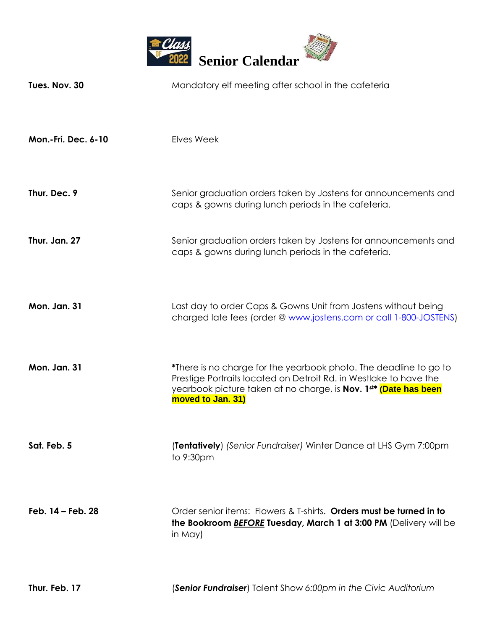

| Tues. Nov. 30       | Mandatory elf meeting after school in the cafeteria                                                                                                                                                                             |
|---------------------|---------------------------------------------------------------------------------------------------------------------------------------------------------------------------------------------------------------------------------|
| Mon.-Fri. Dec. 6-10 | Elves Week                                                                                                                                                                                                                      |
| Thur. Dec. 9        | Senior graduation orders taken by Jostens for announcements and<br>caps & gowns during lunch periods in the cafeteria.                                                                                                          |
| Thur. Jan. 27       | Senior graduation orders taken by Jostens for announcements and<br>caps & gowns during lunch periods in the cafeteria.                                                                                                          |
| <b>Mon. Jan. 31</b> | Last day to order Caps & Gowns Unit from Jostens without being<br>charged late fees (order @ www.jostens.com or call 1-800-JOSTENS)                                                                                             |
| <b>Mon. Jan. 31</b> | *There is no charge for the yearbook photo. The deadline to go to<br>Prestige Portraits located on Detroit Rd. in Westlake to have the<br>yearbook picture taken at no charge, is Nov. 1st* (Date has been<br>moved to Jan. 31) |
| Sat. Feb. 5         | <b>(Tentatively)</b> (Senior Fundraiser) Winter Dance at LHS Gym 7:00pm<br>to 9:30pm                                                                                                                                            |
| Feb. 14 - Feb. 28   | Order senior items: Flowers & T-shirts. Orders must be turned in to<br>the Bookroom <b>BEFORE Tuesday, March 1 at 3:00 PM</b> (Delivery will be<br>in May)                                                                      |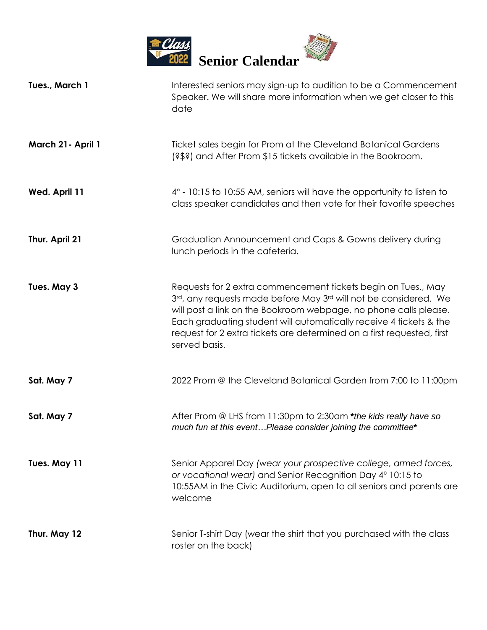

| Tues., March 1     | Interested seniors may sign-up to audition to be a Commencement<br>Speaker. We will share more information when we get closer to this<br>date                                                                                                                                                                                                                          |
|--------------------|------------------------------------------------------------------------------------------------------------------------------------------------------------------------------------------------------------------------------------------------------------------------------------------------------------------------------------------------------------------------|
| March 21 - April 1 | Ticket sales begin for Prom at the Cleveland Botanical Gardens<br>(?\$?) and After Prom \$15 tickets available in the Bookroom.                                                                                                                                                                                                                                        |
| Wed. April 11      | 4° - 10:15 to 10:55 AM, seniors will have the opportunity to listen to<br>class speaker candidates and then vote for their favorite speeches                                                                                                                                                                                                                           |
| Thur. April 21     | Graduation Announcement and Caps & Gowns delivery during<br>lunch periods in the cafeteria.                                                                                                                                                                                                                                                                            |
| Tues. May 3        | Requests for 2 extra commencement tickets begin on Tues., May<br>3rd, any requests made before May 3rd will not be considered. We<br>will post a link on the Bookroom webpage, no phone calls please.<br>Each graduating student will automatically receive 4 tickets & the<br>request for 2 extra tickets are determined on a first requested, first<br>served basis. |
| Sat. May 7         | 2022 Prom @ the Cleveland Botanical Garden from 7:00 to 11:00pm                                                                                                                                                                                                                                                                                                        |
| Sat. May 7         | After Prom @ LHS from 11:30pm to 2:30am *the kids really have so<br>much fun at this eventPlease consider joining the committee*                                                                                                                                                                                                                                       |
| Tues. May 11       | Senior Apparel Day (wear your prospective college, armed forces,<br>or vocational wear) and Senior Recognition Day 4° 10:15 to<br>10:55AM in the Civic Auditorium, open to all seniors and parents are<br>welcome                                                                                                                                                      |
| Thur. May 12       | Senior T-shirt Day (wear the shirt that you purchased with the class<br>roster on the back)                                                                                                                                                                                                                                                                            |